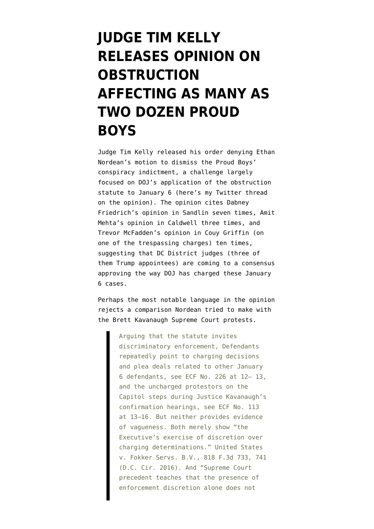## **[JUDGE TIM KELLY](https://www.emptywheel.net/2021/12/28/judge-tim-kelly-releases-opinion-on-obstruction-affecting-as-many-as-two-dozen-proud-boys/) [RELEASES OPINION ON](https://www.emptywheel.net/2021/12/28/judge-tim-kelly-releases-opinion-on-obstruction-affecting-as-many-as-two-dozen-proud-boys/) [OBSTRUCTION](https://www.emptywheel.net/2021/12/28/judge-tim-kelly-releases-opinion-on-obstruction-affecting-as-many-as-two-dozen-proud-boys/) [AFFECTING AS MANY AS](https://www.emptywheel.net/2021/12/28/judge-tim-kelly-releases-opinion-on-obstruction-affecting-as-many-as-two-dozen-proud-boys/) [TWO DOZEN PROUD](https://www.emptywheel.net/2021/12/28/judge-tim-kelly-releases-opinion-on-obstruction-affecting-as-many-as-two-dozen-proud-boys/) [BOYS](https://www.emptywheel.net/2021/12/28/judge-tim-kelly-releases-opinion-on-obstruction-affecting-as-many-as-two-dozen-proud-boys/)**

Judge Tim Kelly released [his order](https://www.documentcloud.org/documents/21170582-211228-kelly-deny-motion-to-dismiss) denying Ethan Nordean's motion to dismiss the Proud Boys' conspiracy indictment, a challenge largely focused on DOJ's application of the obstruction statute to January 6 (here's [my Twitter thread](https://twitter.com/emptywheel/status/1475872177677348872) [on the opinion](https://twitter.com/emptywheel/status/1475872177677348872)). The opinion cites [Dabney](https://www.emptywheel.net/2021/12/13/have-ethan-nordeans-hopes-been-semi-coloned-by-dabney-friedrichs-chapter-and-verse/) [Friedrich's opinion in Sandlin](https://www.emptywheel.net/2021/12/13/have-ethan-nordeans-hopes-been-semi-coloned-by-dabney-friedrichs-chapter-and-verse/) seven times, [Amit](https://www.emptywheel.net/2021/12/21/the-intransitive-corruption-of-the-oath-keepers/) [Mehta's opinion](https://www.emptywheel.net/2021/12/21/the-intransitive-corruption-of-the-oath-keepers/) in Caldwell three times, and [Trevor McFadden's opinion in Couy Griffin](https://storage.courtlistener.com/recap/gov.uscourts.dcd.227183/gov.uscourts.dcd.227183.41.0.pdf) (on one of the trespassing charges) ten times, suggesting that DC District judges (three of them Trump appointees) are coming to a consensus approving the way DOJ has charged these January 6 cases.

Perhaps the most notable language in the opinion rejects a comparison Nordean tried to make with the Brett Kavanaugh Supreme Court protests.

> Arguing that the statute invites discriminatory enforcement, Defendants repeatedly point to charging decisions and plea deals related to other January 6 defendants, see ECF No. 226 at 12– 13, and the uncharged protestors on the Capitol steps during Justice Kavanaugh's confirmation hearings, see ECF No. 113 at 13–16. But neither provides evidence of vagueness. Both merely show "the Executive's exercise of discretion over charging determinations." United States v. Fokker Servs. B.V., 818 F.3d 733, 741 (D.C. Cir. 2016). And "Supreme Court precedent teaches that the presence of enforcement discretion alone does not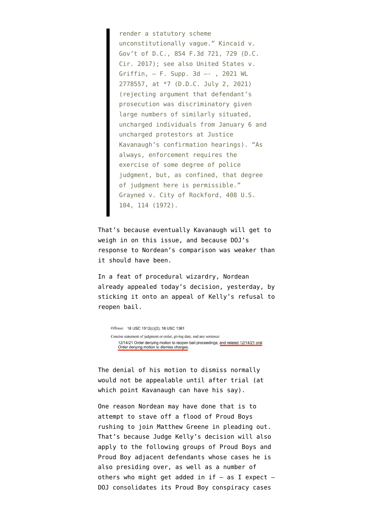render a statutory scheme unconstitutionally vague." Kincaid v. Gov't of D.C., 854 F.3d 721, 729 (D.C. Cir. 2017); see also United States v. Griffin, — F. Supp. 3d —- , 2021 WL 2778557, at \*7 (D.D.C. July 2, 2021) (rejecting argument that defendant's prosecution was discriminatory given large numbers of similarly situated, uncharged individuals from January 6 and uncharged protestors at Justice Kavanaugh's confirmation hearings). "As always, enforcement requires the exercise of some degree of police judgment, but, as confined, that degree of judgment here is permissible." Grayned v. City of Rockford, 408 U.S. 104, 114 (1972).

That's because eventually Kavanaugh will get to weigh in on this issue, and because DOJ's response to Nordean's comparison [was weaker than](https://www.emptywheel.net/2021/07/31/the-government-screws-up-attempt-to-distinguish-between-january-6-insurrection-and-anti-kavanaugh-protests/) [it should have been](https://www.emptywheel.net/2021/07/31/the-government-screws-up-attempt-to-distinguish-between-january-6-insurrection-and-anti-kavanaugh-protests/).

In a feat of procedural wizardry, Nordean already [appealed](https://storage.courtlistener.com/recap/gov.uscourts.dcd.228300/gov.uscourts.dcd.228300.260.0.pdf) today's decision, yesterday, by sticking it onto an appeal of Kelly's refusal to reopen bail.

Offense: 18 USC 1512(c)(2); 18 USC 1361 Concise statement of judgment or order, giving date, and any sentence: 12/14/21 Order denying motion to reopen bail proceedings; and related 12/14/21 oral Order denying motion to dismiss charges

The denial of his motion to dismiss normally would not be appealable until after trial (at which point Kavanaugh can have his say).

One reason Nordean may have done that is to attempt to stave off a flood of Proud Boys rushing to [join Matthew Greene in pleading out.](https://www.emptywheel.net/2021/12/23/chekhovs-riot-shield-how-proud-boy-matthew-greenes-cooperation-helps-prove-the-conspiracy/) That's because Judge Kelly's decision will also apply to the following groups of Proud Boys and Proud Boy adjacent defendants whose cases he is also presiding over, as well as a number of others who might get added in if  $-$  as I expect  $-$ DOJ consolidates its Proud Boy conspiracy cases